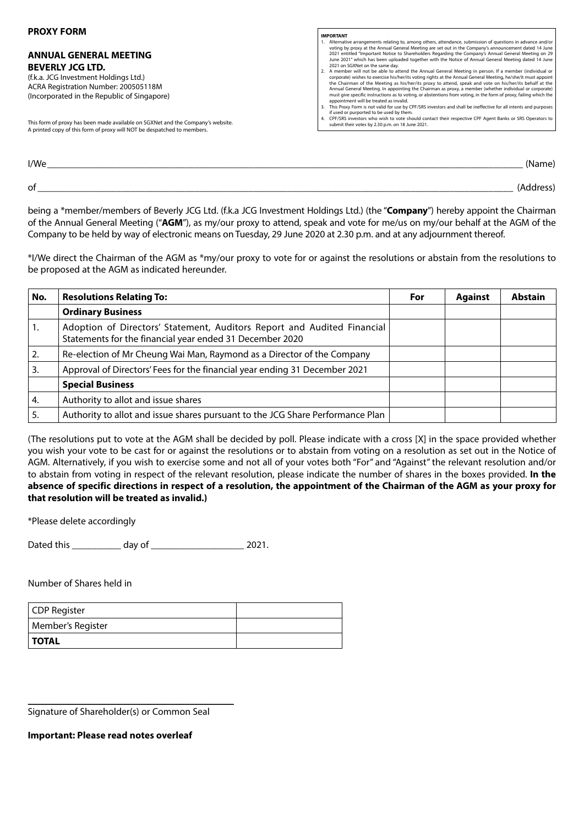#### **PROXY FORM**

## **ANNUAL GENERAL MEETING BEVERLY JCG LTD.**

(f.k.a. JCG Investment Holdings Ltd.) ACRA Registration Number: 200505118M (Incorporated in the Republic of Singapore)

This form of proxy has been made available on SGXNet and the Company's website. A printed copy of this form of proxy will NOT be despatched to members.

### **IMPORTANT**

- nents relating to, among others, attendance, submission of questions in advance and the and  $\alpha$ voting by proxy at the Annual General Meeting are set out in the Company's announcement dated 14 June 2021 entitled "Important Notice to Shareholders Regarding the Company's Annual General Meeting on 29 June 2021" which has been uploaded together with the Notice of Annual General Meeting dated 14 June 2021 on SGXNet on the same day. 2. A member will not be able to attend the Annual General Meeting in person. If a member (individual or
- corporate) wishes to exercise his/her/its voting rights at the Annual General Meeting, he/she/it must appoint the Chairman of the Meeting as his/her/its proxy to attend, speak and vote on his/her/its behalf at the Annual General Meeting. In appointing the Chairman as proxy, a member (whether individual or corporate) must give specific instructions as to voting, or abstentions from voting, in the form of proxy, failing which the
- appointment will be treated as invalid.<br>3. This Proxy Form is not valid for use by CPF/SRS investors and shall be ineffective for all intents and purposes<br>if used or purported to be used by them.<br>4. CPF/SRS investors who w
- submit their votes by 2.30 p.m. on 18 June 2021.

I/We\_\_\_\_\_\_\_\_\_\_\_\_\_\_\_\_\_\_\_\_\_\_\_\_\_\_\_\_\_\_\_\_\_\_\_\_\_\_\_\_\_\_\_\_\_\_\_\_\_\_\_\_\_\_\_\_\_\_\_\_\_\_\_\_\_\_\_\_\_\_\_\_\_\_\_\_\_\_\_\_\_\_\_\_\_\_\_\_\_\_\_\_\_\_\_\_\_ (Name)

of \_\_\_\_\_\_\_\_\_\_\_\_\_\_\_\_\_\_\_\_\_\_\_\_\_\_\_\_\_\_\_\_\_\_\_\_\_\_\_\_\_\_\_\_\_\_\_\_\_\_\_\_\_\_\_\_\_\_\_\_\_\_\_\_\_\_\_\_\_\_\_\_\_\_\_\_\_\_\_\_\_\_\_\_\_\_\_\_\_\_\_\_\_\_\_\_\_ (Address)

being a \*member/members of Beverly JCG Ltd. (f.k.a JCG Investment Holdings Ltd.) (the "**Company**") hereby appoint the Chairman of the Annual General Meeting ("**AGM**"), as my/our proxy to attend, speak and vote for me/us on my/our behalf at the AGM of the Company to be held by way of electronic means on Tuesday, 29 June 2020 at 2.30 p.m. and at any adjournment thereof.

\*I/We direct the Chairman of the AGM as \*my/our proxy to vote for or against the resolutions or abstain from the resolutions to be proposed at the AGM as indicated hereunder.

| No. | <b>Resolutions Relating To:</b>                                                                                                     | For | <b>Against</b> | <b>Abstain</b> |
|-----|-------------------------------------------------------------------------------------------------------------------------------------|-----|----------------|----------------|
|     | <b>Ordinary Business</b>                                                                                                            |     |                |                |
| 1.  | Adoption of Directors' Statement, Auditors Report and Audited Financial<br>Statements for the financial year ended 31 December 2020 |     |                |                |
| 2.  | Re-election of Mr Cheung Wai Man, Raymond as a Director of the Company                                                              |     |                |                |
| 3.  | Approval of Directors' Fees for the financial year ending 31 December 2021                                                          |     |                |                |
|     | <b>Special Business</b>                                                                                                             |     |                |                |
| 4.  | Authority to allot and issue shares                                                                                                 |     |                |                |
| 5.  | Authority to allot and issue shares pursuant to the JCG Share Performance Plan                                                      |     |                |                |

(The resolutions put to vote at the AGM shall be decided by poll. Please indicate with a cross [X] in the space provided whether you wish your vote to be cast for or against the resolutions or to abstain from voting on a resolution as set out in the Notice of AGM. Alternatively, if you wish to exercise some and not all of your votes both "For" and "Against" the relevant resolution and/or to abstain from voting in respect of the relevant resolution, please indicate the number of shares in the boxes provided. **In the absence of specific directions in respect of a resolution, the appointment of the Chairman of the AGM as your proxy for that resolution will be treated as invalid.)**

\*Please delete accordingly

Dated this \_\_\_\_\_\_\_\_\_\_ day of \_\_\_\_\_\_\_\_\_\_\_\_\_\_\_\_\_\_\_ 2021.

Number of Shares held in

| CDP Register      |  |
|-------------------|--|
| Member's Register |  |
| <b>TOTAL</b>      |  |

Signature of Shareholder(s) or Common Seal

\_\_\_\_\_\_\_\_\_\_\_\_\_\_\_\_\_\_\_\_\_\_\_\_\_\_\_\_\_\_\_\_\_\_\_\_\_\_\_\_\_\_

**Important: Please read notes overleaf**